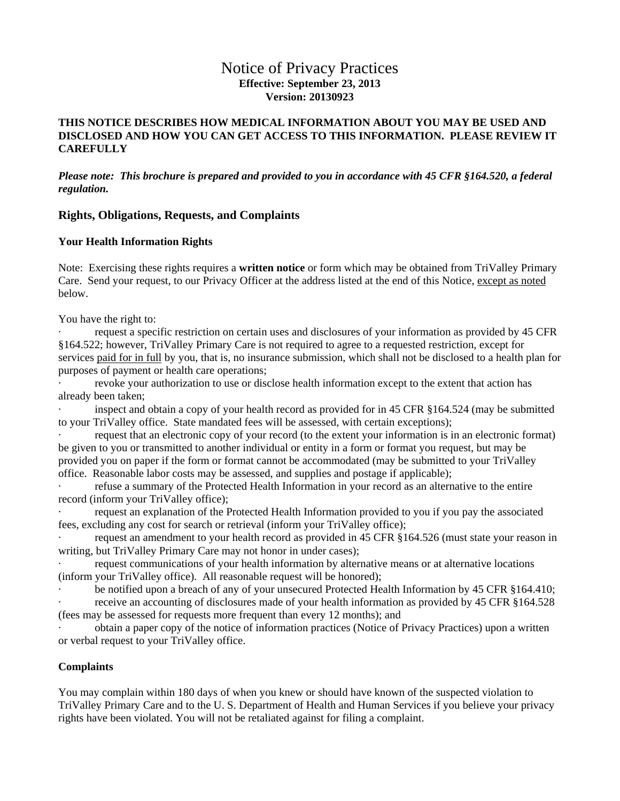# Notice of Privacy Practices **Effective: September 23, 2013 Version: 20130923**

### **THIS NOTICE DESCRIBES HOW MEDICAL INFORMATION ABOUT YOU MAY BE USED AND DISCLOSED AND HOW YOU CAN GET ACCESS TO THIS INFORMATION. PLEASE REVIEW IT CAREFULLY**

*Please note: This brochure is prepared and provided to you in accordance with 45 CFR §164.520, a federal regulation.* 

### **Rights, Obligations, Requests, and Complaints**

### **Your Health Information Rights**

Note: Exercising these rights requires a **written notice** or form which may be obtained from TriValley Primary Care. Send your request, to our Privacy Officer at the address listed at the end of this Notice, except as noted below.

You have the right to:

request a specific restriction on certain uses and disclosures of your information as provided by 45 CFR §164.522; however, TriValley Primary Care is not required to agree to a requested restriction, except for services paid for in full by you, that is, no insurance submission, which shall not be disclosed to a health plan for purposes of payment or health care operations;

revoke your authorization to use or disclose health information except to the extent that action has already been taken;

inspect and obtain a copy of your health record as provided for in 45 CFR §164.524 (may be submitted to your TriValley office. State mandated fees will be assessed, with certain exceptions);

request that an electronic copy of your record (to the extent your information is in an electronic format) be given to you or transmitted to another individual or entity in a form or format you request, but may be provided you on paper if the form or format cannot be accommodated (may be submitted to your TriValley office. Reasonable labor costs may be assessed, and supplies and postage if applicable);

refuse a summary of the Protected Health Information in your record as an alternative to the entire record (inform your TriValley office);

request an explanation of the Protected Health Information provided to you if you pay the associated fees, excluding any cost for search or retrieval (inform your TriValley office);

request an amendment to your health record as provided in 45 CFR §164.526 (must state your reason in writing, but TriValley Primary Care may not honor in under cases);

request communications of your health information by alternative means or at alternative locations (inform your TriValley office). All reasonable request will be honored);

be notified upon a breach of any of your unsecured Protected Health Information by 45 CFR §164.410; receive an accounting of disclosures made of your health information as provided by 45 CFR §164.528 (fees may be assessed for requests more frequent than every 12 months); and

obtain a paper copy of the notice of information practices (Notice of Privacy Practices) upon a written or verbal request to your TriValley office.

### **Complaints**

You may complain within 180 days of when you knew or should have known of the suspected violation to TriValley Primary Care and to the U. S. Department of Health and Human Services if you believe your privacy rights have been violated. You will not be retaliated against for filing a complaint.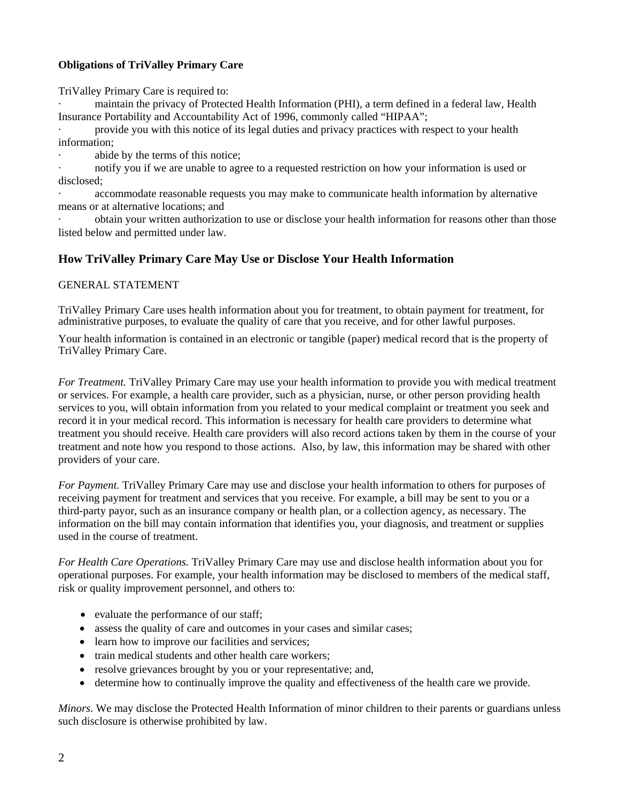## **Obligations of TriValley Primary Care**

TriValley Primary Care is required to:

maintain the privacy of Protected Health Information (PHI), a term defined in a federal law, Health Insurance Portability and Accountability Act of 1996, commonly called "HIPAA";

· provide you with this notice of its legal duties and privacy practices with respect to your health information;

abide by the terms of this notice;

notify you if we are unable to agree to a requested restriction on how your information is used or disclosed;

accommodate reasonable requests you may make to communicate health information by alternative means or at alternative locations; and

· obtain your written authorization to use or disclose your health information for reasons other than those listed below and permitted under law.

# **How TriValley Primary Care May Use or Disclose Your Health Information**

## GENERAL STATEMENT

TriValley Primary Care uses health information about you for treatment, to obtain payment for treatment, for administrative purposes, to evaluate the quality of care that you receive, and for other lawful purposes.

Your health information is contained in an electronic or tangible (paper) medical record that is the property of TriValley Primary Care.

*For Treatment.* TriValley Primary Care may use your health information to provide you with medical treatment or services. For example, a health care provider, such as a physician, nurse, or other person providing health services to you, will obtain information from you related to your medical complaint or treatment you seek and record it in your medical record. This information is necessary for health care providers to determine what treatment you should receive. Health care providers will also record actions taken by them in the course of your treatment and note how you respond to those actions. Also, by law, this information may be shared with other providers of your care.

*For Payment.* TriValley Primary Care may use and disclose your health information to others for purposes of receiving payment for treatment and services that you receive. For example, a bill may be sent to you or a third-party payor, such as an insurance company or health plan, or a collection agency, as necessary. The information on the bill may contain information that identifies you, your diagnosis, and treatment or supplies used in the course of treatment.

*For Health Care Operations.* TriValley Primary Care may use and disclose health information about you for operational purposes. For example, your health information may be disclosed to members of the medical staff, risk or quality improvement personnel, and others to:

- evaluate the performance of our staff;
- assess the quality of care and outcomes in your cases and similar cases;
- learn how to improve our facilities and services;
- train medical students and other health care workers;
- resolve grievances brought by you or your representative; and,
- determine how to continually improve the quality and effectiveness of the health care we provide.

*Minors*. We may disclose the Protected Health Information of minor children to their parents or guardians unless such disclosure is otherwise prohibited by law.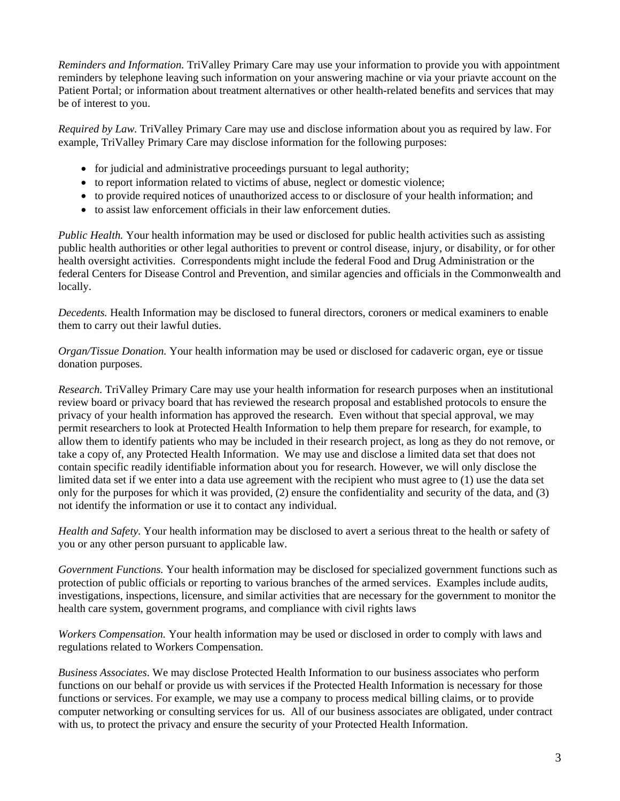*Reminders and Information.* TriValley Primary Care may use your information to provide you with appointment reminders by telephone leaving such information on your answering machine or via your priavte account on the Patient Portal; or information about treatment alternatives or other health-related benefits and services that may be of interest to you.

*Required by Law.* TriValley Primary Care may use and disclose information about you as required by law. For example, TriValley Primary Care may disclose information for the following purposes:

- for judicial and administrative proceedings pursuant to legal authority;
- to report information related to victims of abuse, neglect or domestic violence;
- to provide required notices of unauthorized access to or disclosure of your health information; and
- to assist law enforcement officials in their law enforcement duties.

*Public Health.* Your health information may be used or disclosed for public health activities such as assisting public health authorities or other legal authorities to prevent or control disease, injury, or disability, or for other health oversight activities. Correspondents might include the federal Food and Drug Administration or the federal Centers for Disease Control and Prevention, and similar agencies and officials in the Commonwealth and locally.

*Decedents.* Health Information may be disclosed to funeral directors, coroners or medical examiners to enable them to carry out their lawful duties.

*Organ/Tissue Donation.* Your health information may be used or disclosed for cadaveric organ, eye or tissue donation purposes.

*Research.* TriValley Primary Care may use your health information for research purposes when an institutional review board or privacy board that has reviewed the research proposal and established protocols to ensure the privacy of your health information has approved the research. Even without that special approval, we may permit researchers to look at Protected Health Information to help them prepare for research, for example, to allow them to identify patients who may be included in their research project, as long as they do not remove, or take a copy of, any Protected Health Information. We may use and disclose a limited data set that does not contain specific readily identifiable information about you for research. However, we will only disclose the limited data set if we enter into a data use agreement with the recipient who must agree to (1) use the data set only for the purposes for which it was provided, (2) ensure the confidentiality and security of the data, and (3) not identify the information or use it to contact any individual.

*Health and Safety.* Your health information may be disclosed to avert a serious threat to the health or safety of you or any other person pursuant to applicable law.

*Government Functions.* Your health information may be disclosed for specialized government functions such as protection of public officials or reporting to various branches of the armed services. Examples include audits, investigations, inspections, licensure, and similar activities that are necessary for the government to monitor the health care system, government programs, and compliance with civil rights laws

*Workers Compensation.* Your health information may be used or disclosed in order to comply with laws and regulations related to Workers Compensation.

*Business Associates*. We may disclose Protected Health Information to our business associates who perform functions on our behalf or provide us with services if the Protected Health Information is necessary for those functions or services. For example, we may use a company to process medical billing claims, or to provide computer networking or consulting services for us. All of our business associates are obligated, under contract with us, to protect the privacy and ensure the security of your Protected Health Information.